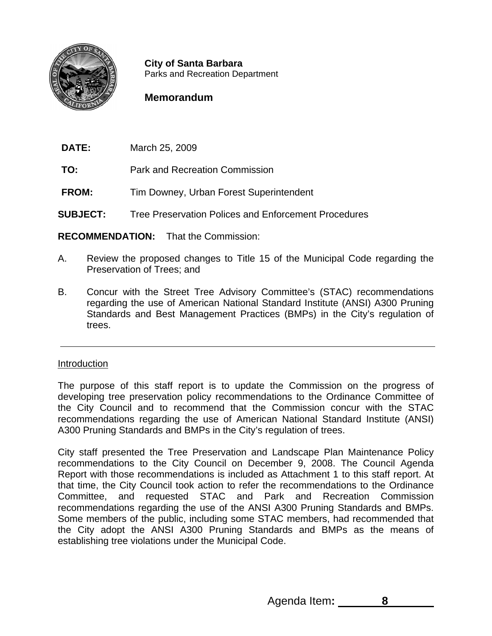

**City of Santa Barbara** Parks and Recreation Department

# **Memorandum**

**DATE:** March 25, 2009

- **TO:** Park and Recreation Commission
- **FROM:** Tim Downey, Urban Forest Superintendent
- **SUBJECT:** Tree Preservation Polices and Enforcement Procedures

**RECOMMENDATION:** That the Commission:

- A. Review the proposed changes to Title 15 of the Municipal Code regarding the Preservation of Trees; and
- B. Concur with the Street Tree Advisory Committee's (STAC) recommendations regarding the use of American National Standard Institute (ANSI) A300 Pruning Standards and Best Management Practices (BMPs) in the City's regulation of trees.

## Introduction

The purpose of this staff report is to update the Commission on the progress of developing tree preservation policy recommendations to the Ordinance Committee of the City Council and to recommend that the Commission concur with the STAC recommendations regarding the use of American National Standard Institute (ANSI) A300 Pruning Standards and BMPs in the City's regulation of trees.

City staff presented the Tree Preservation and Landscape Plan Maintenance Policy recommendations to the City Council on December 9, 2008. The Council Agenda Report with those recommendations is included as Attachment 1 to this staff report. At that time, the City Council took action to refer the recommendations to the Ordinance Committee, and requested STAC and Park and Recreation Commission recommendations regarding the use of the ANSI A300 Pruning Standards and BMPs. Some members of the public, including some STAC members, had recommended that the City adopt the ANSI A300 Pruning Standards and BMPs as the means of establishing tree violations under the Municipal Code.

Agenda Item: 8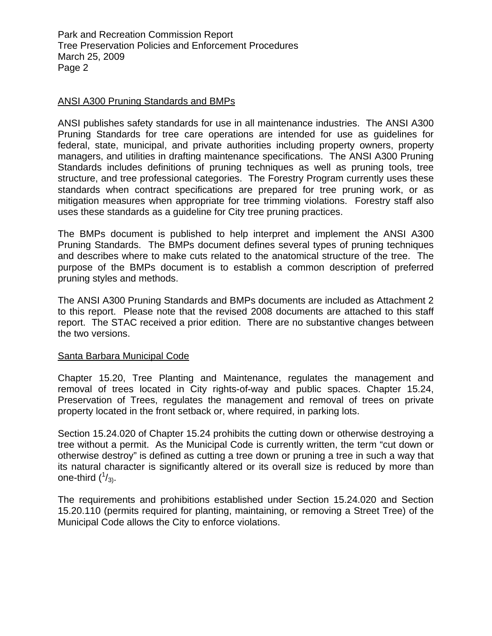Park and Recreation Commission Report Tree Preservation Policies and Enforcement Procedures March 25, 2009 Page 2

## ANSI A300 Pruning Standards and BMPs

ANSI publishes safety standards for use in all maintenance industries. The ANSI A300 Pruning Standards for tree care operations are intended for use as guidelines for federal, state, municipal, and private authorities including property owners, property managers, and utilities in drafting maintenance specifications. The ANSI A300 Pruning Standards includes definitions of pruning techniques as well as pruning tools, tree structure, and tree professional categories. The Forestry Program currently uses these standards when contract specifications are prepared for tree pruning work, or as mitigation measures when appropriate for tree trimming violations. Forestry staff also uses these standards as a guideline for City tree pruning practices.

The BMPs document is published to help interpret and implement the ANSI A300 Pruning Standards. The BMPs document defines several types of pruning techniques and describes where to make cuts related to the anatomical structure of the tree. The purpose of the BMPs document is to establish a common description of preferred pruning styles and methods.

The ANSI A300 Pruning Standards and BMPs documents are included as Attachment 2 to this report. Please note that the revised 2008 documents are attached to this staff report. The STAC received a prior edition. There are no substantive changes between the two versions.

### Santa Barbara Municipal Code

Chapter 15.20, Tree Planting and Maintenance, regulates the management and removal of trees located in City rights-of-way and public spaces. Chapter 15.24, Preservation of Trees, regulates the management and removal of trees on private property located in the front setback or, where required, in parking lots.

Section 15.24.020 of Chapter 15.24 prohibits the cutting down or otherwise destroying a tree without a permit. As the Municipal Code is currently written, the term "cut down or otherwise destroy" is defined as cutting a tree down or pruning a tree in such a way that its natural character is significantly altered or its overall size is reduced by more than one-third  $(^{1}/_{3}).$ 

The requirements and prohibitions established under Section 15.24.020 and Section 15.20.110 (permits required for planting, maintaining, or removing a Street Tree) of the Municipal Code allows the City to enforce violations.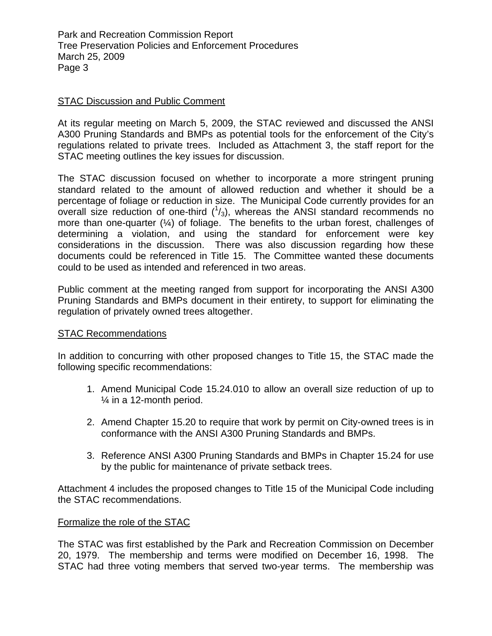Park and Recreation Commission Report Tree Preservation Policies and Enforcement Procedures March 25, 2009 Page 3

## STAC Discussion and Public Comment

At its regular meeting on March 5, 2009, the STAC reviewed and discussed the ANSI A300 Pruning Standards and BMPs as potential tools for the enforcement of the City's regulations related to private trees. Included as Attachment 3, the staff report for the STAC meeting outlines the key issues for discussion.

The STAC discussion focused on whether to incorporate a more stringent pruning standard related to the amount of allowed reduction and whether it should be a percentage of foliage or reduction in size. The Municipal Code currently provides for an overall size reduction of one-third  $(1/3)$ , whereas the ANSI standard recommends no more than one-quarter  $(\frac{1}{4})$  of foliage. The benefits to the urban forest, challenges of determining a violation, and using the standard for enforcement were key considerations in the discussion. There was also discussion regarding how these documents could be referenced in Title 15. The Committee wanted these documents could to be used as intended and referenced in two areas.

Public comment at the meeting ranged from support for incorporating the ANSI A300 Pruning Standards and BMPs document in their entirety, to support for eliminating the regulation of privately owned trees altogether.

### STAC Recommendations

In addition to concurring with other proposed changes to Title 15, the STAC made the following specific recommendations:

- 1. Amend Municipal Code 15.24.010 to allow an overall size reduction of up to ¼ in a 12-month period.
- 2. Amend Chapter 15.20 to require that work by permit on City-owned trees is in conformance with the ANSI A300 Pruning Standards and BMPs.
- 3. Reference ANSI A300 Pruning Standards and BMPs in Chapter 15.24 for use by the public for maintenance of private setback trees.

Attachment 4 includes the proposed changes to Title 15 of the Municipal Code including the STAC recommendations.

### Formalize the role of the STAC

The STAC was first established by the Park and Recreation Commission on December 20, 1979. The membership and terms were modified on December 16, 1998. The STAC had three voting members that served two-year terms. The membership was